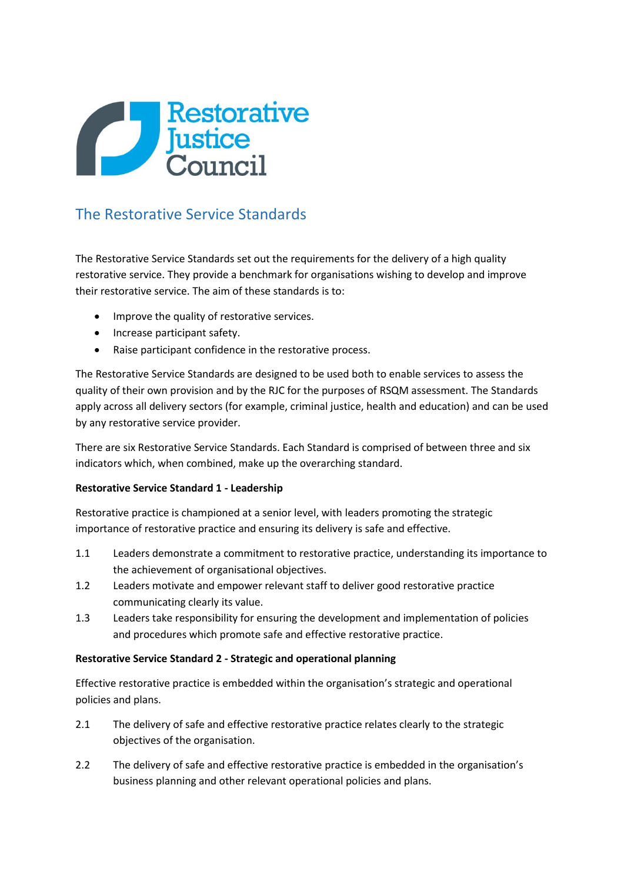

# The Restorative Service Standards

The Restorative Service Standards set out the requirements for the delivery of a high quality restorative service. They provide a benchmark for organisations wishing to develop and improve their restorative service. The aim of these standards is to:

- Improve the quality of restorative services.
- Increase participant safety.
- Raise participant confidence in the restorative process.

The Restorative Service Standards are designed to be used both to enable services to assess the quality of their own provision and by the RJC for the purposes of RSQM assessment. The Standards apply across all delivery sectors (for example, criminal justice, health and education) and can be used by any restorative service provider.

There are six Restorative Service Standards. Each Standard is comprised of between three and six indicators which, when combined, make up the overarching standard.

# **Restorative Service Standard 1 - Leadership**

Restorative practice is championed at a senior level, with leaders promoting the strategic importance of restorative practice and ensuring its delivery is safe and effective.

- 1.1 Leaders demonstrate a commitment to restorative practice, understanding its importance to the achievement of organisational objectives.
- 1.2 Leaders motivate and empower relevant staff to deliver good restorative practice communicating clearly its value.
- 1.3 Leaders take responsibility for ensuring the development and implementation of policies and procedures which promote safe and effective restorative practice.

# **Restorative Service Standard 2 - Strategic and operational planning**

Effective restorative practice is embedded within the organisation's strategic and operational policies and plans.

- 2.1 The delivery of safe and effective restorative practice relates clearly to the strategic objectives of the organisation.
- 2.2 The delivery of safe and effective restorative practice is embedded in the organisation's business planning and other relevant operational policies and plans.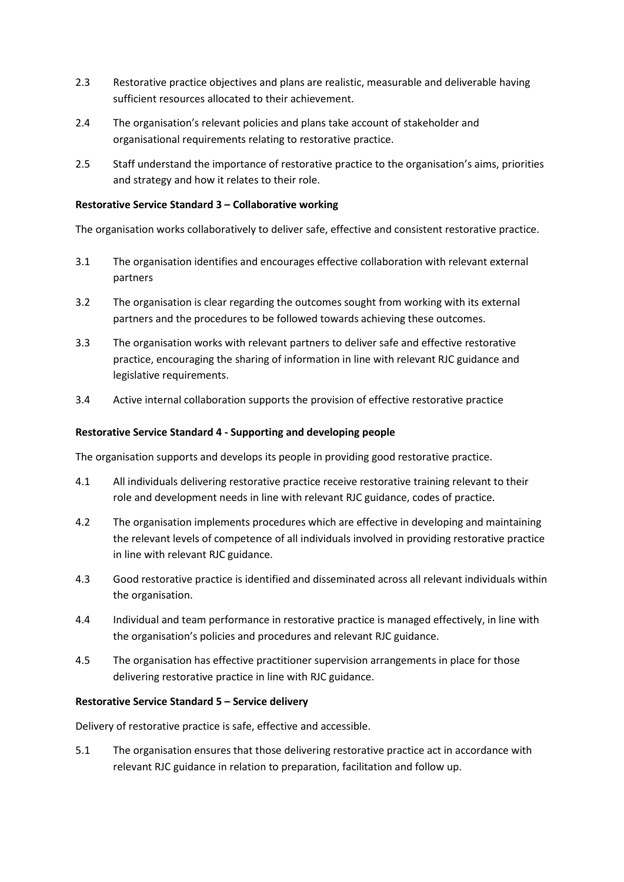- 2.3 Restorative practice objectives and plans are realistic, measurable and deliverable having sufficient resources allocated to their achievement.
- 2.4 The organisation's relevant policies and plans take account of stakeholder and organisational requirements relating to restorative practice.
- 2.5 Staff understand the importance of restorative practice to the organisation's aims, priorities and strategy and how it relates to their role.

### **Restorative Service Standard 3 – Collaborative working**

The organisation works collaboratively to deliver safe, effective and consistent restorative practice.

- 3.1 The organisation identifies and encourages effective collaboration with relevant external partners
- 3.2 The organisation is clear regarding the outcomes sought from working with its external partners and the procedures to be followed towards achieving these outcomes.
- 3.3 The organisation works with relevant partners to deliver safe and effective restorative practice, encouraging the sharing of information in line with relevant RJC guidance and legislative requirements.
- 3.4 Active internal collaboration supports the provision of effective restorative practice

#### **Restorative Service Standard 4 - Supporting and developing people**

The organisation supports and develops its people in providing good restorative practice.

- 4.1 All individuals delivering restorative practice receive restorative training relevant to their role and development needs in line with relevant RJC guidance, codes of practice.
- 4.2 The organisation implements procedures which are effective in developing and maintaining the relevant levels of competence of all individuals involved in providing restorative practice in line with relevant RJC guidance.
- 4.3 Good restorative practice is identified and disseminated across all relevant individuals within the organisation.
- 4.4 Individual and team performance in restorative practice is managed effectively, in line with the organisation's policies and procedures and relevant RJC guidance.
- 4.5 The organisation has effective practitioner supervision arrangements in place for those delivering restorative practice in line with RJC guidance.

#### **Restorative Service Standard 5 – Service delivery**

Delivery of restorative practice is safe, effective and accessible.

5.1 The organisation ensures that those delivering restorative practice act in accordance with relevant RJC guidance in relation to preparation, facilitation and follow up.